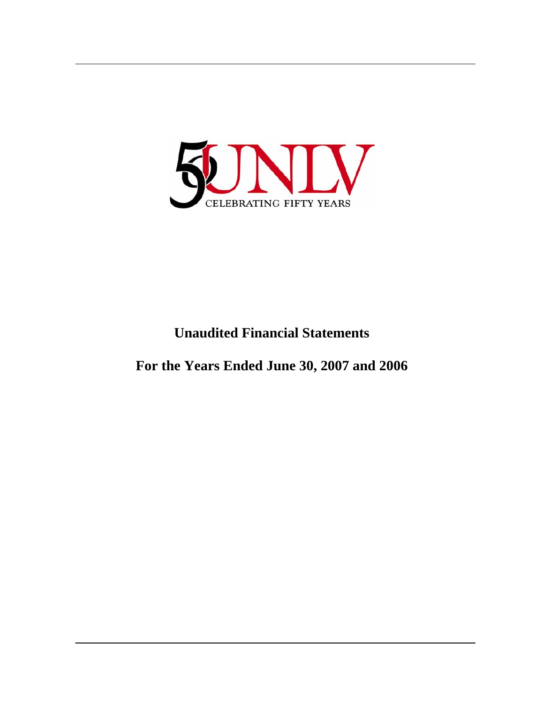

# **Unaudited Financial Statements**

**For the Years Ended June 30, 2007 and 2006**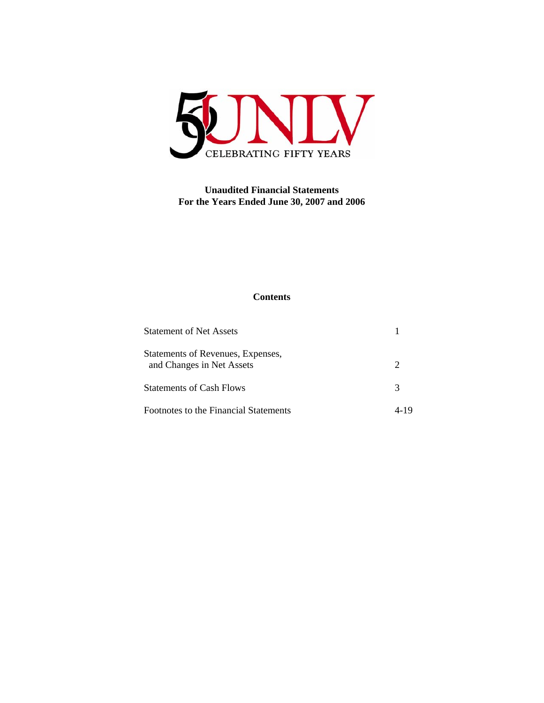

# **Unaudited Financial Statements For the Years Ended June 30, 2007 and 2006**

# **Contents**

| <b>Statement of Net Assets</b>                                 |   |
|----------------------------------------------------------------|---|
| Statements of Revenues, Expenses,<br>and Changes in Net Assets | 2 |
| <b>Statements of Cash Flows</b>                                | 3 |
| Footnotes to the Financial Statements                          |   |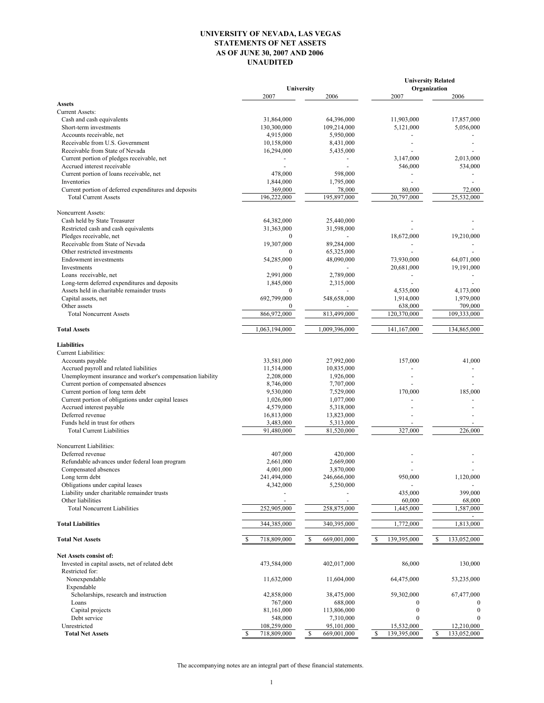# UNIVERSITY OF NEVADA, LAS VEGAS STATEMENTS OF NET ASSETS AS OF JUNE 30, 2007 AND 2006 UNAUDITED

|                                                                               | University                      |                   | <b>University Related</b><br>Organization |                        |
|-------------------------------------------------------------------------------|---------------------------------|-------------------|-------------------------------------------|------------------------|
|                                                                               | 2007                            | 2006              | 2007                                      | 2006                   |
| <b>Assets</b>                                                                 |                                 |                   |                                           |                        |
| <b>Current Assets:</b>                                                        |                                 |                   |                                           |                        |
| Cash and cash equivalents                                                     | 31,864,000                      | 64,396,000        | 11,903,000                                | 17,857,000             |
| Short-term investments                                                        | 130,300,000                     | 109,214,000       | 5,121,000                                 | 5,056,000              |
| Accounts receivable, net                                                      | 4,915,000                       | 5,950,000         |                                           |                        |
| Receivable from U.S. Government                                               | 10,158,000                      | 8,431,000         |                                           |                        |
| Receivable from State of Nevada<br>Current portion of pledges receivable, net | 16,294,000                      | 5,435,000         | 3,147,000                                 | 2,013,000              |
| Accrued interest receivable                                                   |                                 |                   | 546,000                                   | 534,000                |
| Current portion of loans receivable, net                                      | 478,000                         | 598,000           |                                           |                        |
| Inventories                                                                   | 1,844,000                       | 1,795,000         |                                           |                        |
| Current portion of deferred expenditures and deposits                         | 369,000                         | 78,000            | 80,000                                    | 72,000                 |
| <b>Total Current Assets</b>                                                   | 196,222,000                     | 195,897,000       | 20,797,000                                | 25,532,000             |
| Noncurrent Assets:                                                            |                                 |                   |                                           |                        |
| Cash held by State Treasurer                                                  | 64,382,000                      | 25,440,000        |                                           |                        |
| Restricted cash and cash equivalents                                          | 31,363,000                      | 31,598,000        |                                           |                        |
| Pledges receivable, net                                                       | $\mathbf{0}$                    |                   | 18,672,000                                | 19,210,000             |
| Receivable from State of Nevada                                               | 19,307,000                      | 89,284,000        |                                           |                        |
| Other restricted investments                                                  | $\mathbf{0}$                    | 65,325,000        |                                           |                        |
| <b>Endowment</b> investments                                                  | 54,285,000                      | 48,090,000        | 73,930,000                                | 64,071,000             |
| Investments                                                                   | $\mathbf{0}$                    |                   | 20,681,000                                | 19,191,000             |
| Loans receivable, net                                                         | 2,991,000                       | 2,789,000         |                                           |                        |
| Long-term deferred expenditures and deposits                                  | 1,845,000                       | 2,315,000         |                                           |                        |
| Assets held in charitable remainder trusts                                    | $\mathbf{0}$                    |                   | 4,535,000                                 | 4,173,000              |
| Capital assets, net                                                           | 692,799,000                     | 548,658,000       | 1,914,000                                 | 1,979,000              |
| Other assets<br><b>Total Noncurrent Assets</b>                                | $\boldsymbol{0}$<br>866,972,000 | 813,499,000       | 638,000<br>120,370,000                    | 709,000<br>109,333,000 |
|                                                                               |                                 |                   |                                           |                        |
| <b>Total Assets</b>                                                           | 1,063,194,000                   | 1,009,396,000     | 141,167,000                               | 134,865,000            |
| <b>Liabilities</b>                                                            |                                 |                   |                                           |                        |
| Current Liabilities:                                                          |                                 |                   |                                           |                        |
| Accounts payable                                                              | 33,581,000                      | 27,992,000        | 157,000                                   | 41,000                 |
| Accrued payroll and related liabilities                                       | 11,514,000                      | 10,835,000        |                                           |                        |
| Unemployment insurance and worker's compensation liability                    | 2,208,000                       | 1,926,000         |                                           |                        |
| Current portion of compensated absences                                       | 8,746,000                       | 7,707,000         |                                           |                        |
| Current portion of long term debt                                             | 9,530,000                       | 7,529,000         | 170,000                                   | 185,000                |
| Current portion of obligations under capital leases                           | 1,026,000                       | 1,077,000         |                                           |                        |
| Accrued interest payable                                                      | 4,579,000                       | 5,318,000         |                                           |                        |
| Deferred revenue                                                              | 16,813,000                      | 13,823,000        |                                           |                        |
| Funds held in trust for others                                                | 3,483,000                       | 5,313,000         | 327.000                                   |                        |
| <b>Total Current Liabilities</b>                                              | 91,480,000                      | 81,520,000        |                                           | 226,000                |
| Noncurrent Liabilities:                                                       |                                 |                   |                                           |                        |
| Deferred revenue                                                              | 407,000                         | 420,000           |                                           |                        |
| Refundable advances under federal loan program                                | 2,661,000                       | 2,669,000         |                                           |                        |
| Compensated absences                                                          | 4,001,000                       | 3,870,000         |                                           |                        |
| Long term debt                                                                | 241,494,000                     | 246,666,000       | 950,000                                   | 1,120,000              |
| Obligations under capital leases                                              | 4,342,000                       | 5,250,000         |                                           |                        |
| Liability under charitable remainder trusts                                   |                                 |                   | 435,000                                   | 399,000                |
| Other liabilities<br><b>Total Noncurrent Liabilities</b>                      | 252,905,000                     | 258,875,000       | 60,000<br>1,445,000                       | 68,000<br>1,587,000    |
|                                                                               |                                 |                   |                                           |                        |
| <b>Total Liabilities</b>                                                      | 344,385,000                     | 340,395,000       | 1,772,000                                 | 1,813,000              |
| <b>Total Net Assets</b>                                                       | 718,809,000                     | \$<br>669,001,000 | 139,395,000<br>\$                         | \$<br>133,052,000      |
| <b>Net Assets consist of:</b>                                                 |                                 |                   |                                           |                        |
| Invested in capital assets, net of related debt                               | 473,584,000                     | 402,017,000       | 86,000                                    | 130,000                |
| Restricted for:                                                               |                                 |                   |                                           |                        |
| Nonexpendable                                                                 | 11,632,000                      | 11,604,000        | 64,475,000                                | 53,235,000             |
| Expendable<br>Scholarships, research and instruction                          | 42,858,000                      | 38,475,000        | 59,302,000                                | 67,477,000             |
| Loans                                                                         | 767,000                         | 688,000           | 0                                         |                        |
| Capital projects                                                              | 81,161,000                      | 113,806,000       | $\boldsymbol{0}$                          | $\bf{0}$               |
| Debt service                                                                  | 548,000                         | 7,310,000         | $\boldsymbol{0}$                          | $\mathbf{0}$           |
| Unrestricted                                                                  | 108,259,000                     | 95,101,000        | 15,532,000                                | 12,210,000             |
| <b>Total Net Assets</b>                                                       | 718,809,000<br>S                | 669,001,000<br>\$ | 139,395,000<br>\$                         | \$<br>133,052,000      |

The accompanying notes are an integral part of these financial statements.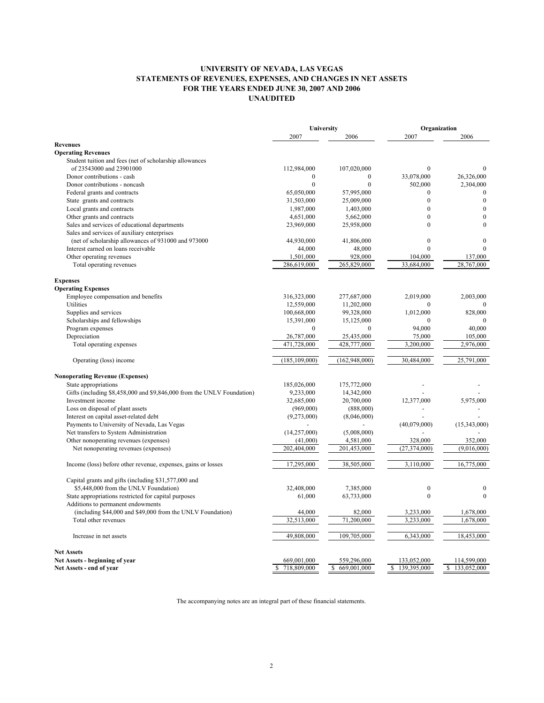# UNIVERSITY OF NEVADA, LAS VEGAS STATEMENTS OF REVENUES, EXPENSES, AND CHANGES IN NET ASSETS FOR THE YEARS ENDED JUNE 30, 2007 AND 2006 UNAUDITED

|                                                                                           | University           |                      |                        | Organization           |
|-------------------------------------------------------------------------------------------|----------------------|----------------------|------------------------|------------------------|
|                                                                                           | 2007                 | 2006                 | 2007                   | 2006                   |
| <b>Revenues</b>                                                                           |                      |                      |                        |                        |
| <b>Operating Revenues</b>                                                                 |                      |                      |                        |                        |
| Student tuition and fees (net of scholarship allowances                                   |                      |                      |                        |                        |
| of 23543000 and 23901000                                                                  | 112,984,000          | 107,020,000          | $\mathbf{0}$           | $\mathbf{0}$           |
| Donor contributions - cash                                                                | $\boldsymbol{0}$     | $\boldsymbol{0}$     | 33,078,000             | 26,326,000             |
| Donor contributions - noncash                                                             | $\mathbf{0}$         | $\mathbf{0}$         | 502,000                | 2,304,000              |
| Federal grants and contracts                                                              | 65,050,000           | 57,995,000           | $\mathbf{0}$           | $\mathbf{0}$           |
| State grants and contracts                                                                | 31,503,000           | 25,009,000           | $\theta$               | $\boldsymbol{0}$       |
| Local grants and contracts                                                                | 1,987,000            | 1,403,000            | $\mathbf{0}$           | $\mathbf{0}$           |
| Other grants and contracts                                                                | 4,651,000            | 5,662,000            | $\mathbf{0}$           | $\boldsymbol{0}$       |
| Sales and services of educational departments                                             | 23,969,000           | 25,958,000           | $\theta$               | $\Omega$               |
| Sales and services of auxiliary enterprises                                               |                      |                      |                        |                        |
| (net of scholarship allowances of 931000 and 973000                                       | 44,930,000           | 41,806,000           | $\mathbf{0}$           | $\mathbf{0}$           |
| Interest earned on loans receivable                                                       | 44,000               | 48,000               | $\theta$               | $\Omega$               |
| Other operating revenues                                                                  | 1,501,000            | 928,000              | 104,000                | 137,000                |
| Total operating revenues                                                                  | 286,619,000          | 265,829,000          | 33,684,000             | 28,767,000             |
|                                                                                           |                      |                      |                        |                        |
| <b>Expenses</b>                                                                           |                      |                      |                        |                        |
| <b>Operating Expenses</b>                                                                 |                      |                      |                        |                        |
| Employee compensation and benefits                                                        | 316,323,000          | 277,687,000          | 2,019,000              | 2,003,000              |
| Utilities                                                                                 | 12,559,000           | 11,202,000           | $\Omega$               |                        |
| Supplies and services                                                                     | 100,668,000          | 99,328,000           | 1,012,000              | 828,000                |
| Scholarships and fellowships                                                              | 15,391,000           | 15,125,000           | $\theta$               |                        |
| Program expenses                                                                          | $\mathbf{0}$         | $\mathbf{0}$         | 94,000                 | 40,000                 |
| Depreciation                                                                              | 26,787,000           | 25,435,000           | 75,000                 | 105,000                |
| Total operating expenses                                                                  | 471,728,000          | 428,777,000          | 3,200,000              | 2,976,000              |
|                                                                                           |                      |                      |                        |                        |
| Operating (loss) income                                                                   | (185, 109, 000)      | (162, 948, 000)      | 30,484,000             | 25,791,000             |
| <b>Nonoperating Revenue (Expenses)</b>                                                    |                      |                      |                        |                        |
| State appropriations                                                                      | 185,026,000          | 175,772,000          |                        |                        |
| Gifts (including \$8,458,000 and \$9,846,000 from the UNLV Foundation)                    | 9,233,000            | 14,342,000           |                        |                        |
| Investment income                                                                         | 32,685,000           | 20,700,000           | 12,377,000             | 5,975,000              |
| Loss on disposal of plant assets                                                          | (969,000)            | (888,000)            |                        |                        |
| Interest on capital asset-related debt                                                    | (9,273,000)          | (8,046,000)          |                        |                        |
| Payments to University of Nevada, Las Vegas                                               |                      |                      | (40,079,000)           | (15,343,000)           |
| Net transfers to System Administration                                                    | (14,257,000)         | (5,008,000)          |                        |                        |
| Other nonoperating revenues (expenses)                                                    | (41,000)             | 4,581,000            | 328,000                | 352,000                |
| Net nonoperating revenues (expenses)                                                      | 202,404,000          | 201,453,000          | (27, 374, 000)         | (9,016,000)            |
| Income (loss) before other revenue, expenses, gains or losses                             | 17,295,000           | 38,505,000           | 3,110,000              | 16,775,000             |
|                                                                                           |                      |                      |                        |                        |
| Capital grants and gifts (including \$31,577,000 and                                      | 32,408,000           | 7,385,000            | $\boldsymbol{0}$       | $\boldsymbol{0}$       |
| \$5,448,000 from the UNLV Foundation)                                                     |                      |                      | $\mathbf{0}$           | $\mathbf{0}$           |
| State appropriations restricted for capital purposes<br>Additions to permanent endowments | 61,000               | 63,733,000           |                        |                        |
|                                                                                           |                      |                      |                        |                        |
| (including \$44,000 and \$49,000 from the UNLV Foundation)<br>Total other revenues        | 44,000<br>32,513,000 | 82,000<br>71,200,000 | 3,233,000<br>3,233,000 | 1,678,000<br>1,678,000 |
|                                                                                           |                      |                      |                        |                        |
| Increase in net assets                                                                    | 49,808,000           | 109,705,000          | 6,343,000              | 18,453,000             |
| <b>Net Assets</b>                                                                         |                      |                      |                        |                        |
| Net Assets - beginning of year                                                            | 669,001,000          | 559,296,000          | 133,052,000            | 114,599,000            |
| Net Assets - end of year                                                                  | 718,809,000<br>\$    | \$<br>669,001,000    | 139,395,000<br>\$      | \$<br>133,052,000      |

The accompanying notes are an integral part of these financial statements.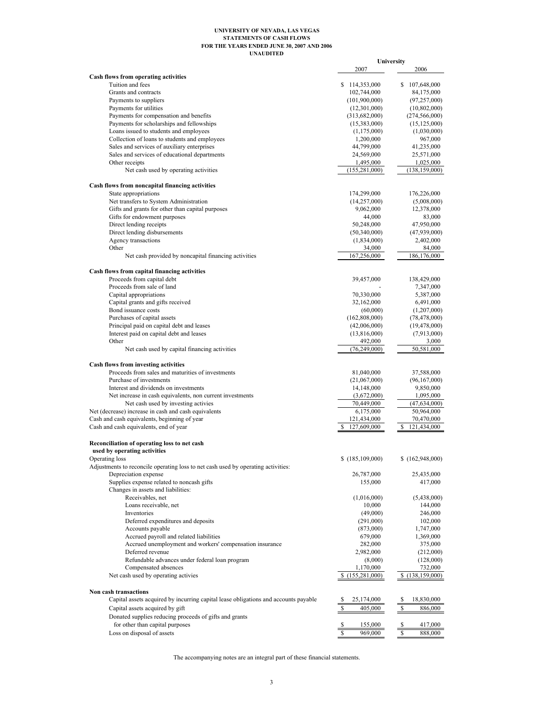#### UNAUDITED UNIVERSITY OF NEVADA, LAS VEGAS STATEMENTS OF CASH FLOWS FOR THE YEARS ENDED JUNE 30, 2007 AND 2006

|                                                                                     |                                | University                   |
|-------------------------------------------------------------------------------------|--------------------------------|------------------------------|
|                                                                                     | 2007                           | 2006                         |
| Cash flows from operating activities                                                |                                |                              |
| Tuition and fees                                                                    | \$114,353,000                  | \$107,648,000                |
| Grants and contracts                                                                | 102,744,000                    | 84,175,000                   |
| Payments to suppliers                                                               | (101,900,000)                  | (97, 257, 000)               |
| Payments for utilities                                                              | (12,301,000)                   | (10, 802, 000)               |
| Payments for compensation and benefits                                              | (313,682,000)                  | (274, 566, 000)              |
| Payments for scholarships and fellowships                                           | (15,383,000)                   | (15, 125, 000)               |
| Loans issued to students and employees                                              | (1, 175, 000)                  | (1,030,000)                  |
| Collection of loans to students and employees                                       | 1,200,000                      | 967,000                      |
| Sales and services of auxiliary enterprises                                         | 44,799,000                     | 41,235,000                   |
| Sales and services of educational departments                                       | 24,569,000                     | 25,571,000                   |
| Other receipts                                                                      | 1,495,000                      | 1,025,000                    |
| Net cash used by operating activities                                               | (155, 281, 000)                | (138, 159, 000)              |
| Cash flows from noncapital financing activities                                     |                                |                              |
| State appropriations                                                                | 174,299,000                    | 176,226,000                  |
| Net transfers to System Administration                                              | (14,257,000)                   | (5,008,000)                  |
| Gifts and grants for other than capital purposes                                    | 9,062,000                      | 12,378,000                   |
| Gifts for endowment purposes                                                        | 44,000                         | 83,000                       |
| Direct lending receipts                                                             | 50,248,000                     | 47,950,000                   |
| Direct lending disbursements                                                        | (50,340,000)                   | (47,939,000)                 |
| Agency transactions                                                                 | (1,834,000)                    | 2,402,000                    |
| Other                                                                               | 34,000                         | 84,000                       |
| Net cash provided by noncapital financing activities                                | 167,256,000                    | 186,176,000                  |
|                                                                                     |                                |                              |
| Cash flows from capital financing activities<br>Proceeds from capital debt          | 39,457,000                     | 138,429,000                  |
| Proceeds from sale of land                                                          |                                | 7,347,000                    |
| Capital appropriations                                                              | 70,330,000                     | 5,387,000                    |
| Capital grants and gifts received                                                   | 32,162,000                     | 6,491,000                    |
| Bond issuance costs                                                                 | (60,000)                       | (1,207,000)                  |
| Purchases of capital assets                                                         | (162,808,000)                  | (78, 478, 000)               |
| Principal paid on capital debt and leases                                           | (42,006,000)                   | (19, 478, 000)               |
| Interest paid on capital debt and leases                                            | (13,816,000)                   | (7,913,000)                  |
| Other                                                                               | 492,000                        | 3,000                        |
| Net cash used by capital financing activities                                       | (76, 249, 000)                 | 50,581,000                   |
|                                                                                     |                                |                              |
| <b>Cash flows from investing activities</b>                                         |                                |                              |
| Proceeds from sales and maturities of investments                                   | 81,040,000                     | 37,588,000                   |
| Purchase of investments                                                             | (21,067,000)                   | (96, 167, 000)               |
| Interest and dividends on investments                                               | 14,148,000                     | 9,850,000                    |
| Net increase in cash equivalents, non current investments                           | (3,672,000)                    | 1,095,000                    |
| Net cash used by investing activies                                                 | 70,449,000                     | (47, 634, 000)               |
| Net (decrease) increase in cash and cash equivalents                                | 6,175,000                      | 50,964,000                   |
| Cash and cash equivalents, beginning of year                                        | 121,434,000                    | 70,470,000<br>121.434.000    |
| Cash and cash equivalents, end of year                                              | 127,609,000<br>S               | \$                           |
| Reconciliation of operating loss to net cash                                        |                                |                              |
| used by operating activities                                                        |                                |                              |
| Operating loss                                                                      | \$(185,109,000)                | \$(162,948,000)              |
| Adjustments to reconcile operating loss to net cash used by operating activities:   |                                |                              |
| Depreciation expense                                                                | 26,787,000                     | 25,435,000                   |
| Supplies expense related to noncash gifts                                           | 155,000                        | 417,000                      |
| Changes in assets and liabilities:                                                  |                                |                              |
| Receivables, net                                                                    | (1,016,000)                    | (5,438,000)                  |
| Loans receivable, net                                                               | 10,000                         | 144,000                      |
| Inventories                                                                         | (49,000)                       | 246,000                      |
| Deferred expenditures and deposits                                                  | (291,000)                      | 102,000                      |
| Accounts payable                                                                    | (873,000)                      | 1,747,000                    |
| Accrued payroll and related liabilities                                             | 679,000                        | 1,369,000                    |
| Accrued unemployment and workers' compensation insurance                            | 282,000                        | 375,000                      |
| Deferred revenue                                                                    | 2,982,000                      | (212,000)                    |
| Refundable advances under federal loan program                                      | (8,000)                        | (128,000)                    |
| Compensated absences<br>Net cash used by operating activies                         | 1,170,000<br>\$(155, 281, 000) | 732,000<br>\$(138, 159, 000) |
|                                                                                     |                                |                              |
| Non cash transactions                                                               |                                |                              |
| Capital assets acquired by incurring capital lease obligations and accounts payable | 25,174,000                     | S<br>18,830,000              |
| Capital assets acquired by gift                                                     | S<br>405,000                   | \$<br>886,000                |
| Donated supplies reducing proceeds of gifts and grants                              |                                |                              |
| for other than capital purposes                                                     | \$<br>155,000                  | \$<br>417,000                |
| Loss on disposal of assets                                                          | \$<br>969,000                  | $\mathbb{S}$<br>888,000      |

The accompanying notes are an integral part of these financial statements.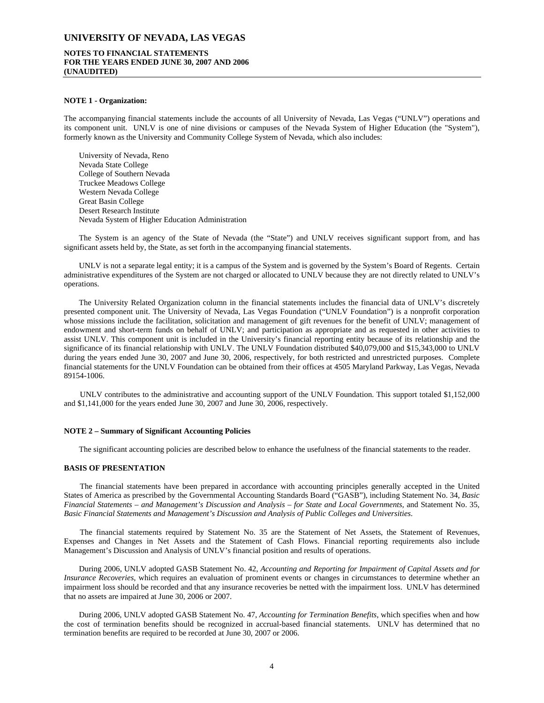# **NOTES TO FINANCIAL STATEMENTS FOR THE YEARS ENDED JUNE 30, 2007 AND 2006 (UNAUDITED)**

#### **NOTE 1 - Organization:**

The accompanying financial statements include the accounts of all University of Nevada, Las Vegas ("UNLV") operations and its component unit. UNLV is one of nine divisions or campuses of the Nevada System of Higher Education (the "System"), formerly known as the University and Community College System of Nevada, which also includes:

University of Nevada, Reno Nevada State College College of Southern Nevada Truckee Meadows College Western Nevada College Great Basin College Desert Research Institute Nevada System of Higher Education Administration

The System is an agency of the State of Nevada (the "State") and UNLV receives significant support from, and has significant assets held by, the State, as set forth in the accompanying financial statements.

UNLV is not a separate legal entity; it is a campus of the System and is governed by the System's Board of Regents. Certain administrative expenditures of the System are not charged or allocated to UNLV because they are not directly related to UNLV's operations.

The University Related Organization column in the financial statements includes the financial data of UNLV's discretely presented component unit. The University of Nevada, Las Vegas Foundation ("UNLV Foundation") is a nonprofit corporation whose missions include the facilitation, solicitation and management of gift revenues for the benefit of UNLV; management of endowment and short-term funds on behalf of UNLV; and participation as appropriate and as requested in other activities to assist UNLV. This component unit is included in the University's financial reporting entity because of its relationship and the significance of its financial relationship with UNLV. The UNLV Foundation distributed \$40,079,000 and \$15,343,000 to UNLV during the years ended June 30, 2007 and June 30, 2006, respectively, for both restricted and unrestricted purposes. Complete financial statements for the UNLV Foundation can be obtained from their offices at 4505 Maryland Parkway, Las Vegas, Nevada 89154-1006.

UNLV contributes to the administrative and accounting support of the UNLV Foundation. This support totaled \$1,152,000 and \$1,141,000 for the years ended June 30, 2007 and June 30, 2006, respectively.

#### **NOTE 2 – Summary of Significant Accounting Policies**

The significant accounting policies are described below to enhance the usefulness of the financial statements to the reader.

#### **BASIS OF PRESENTATION**

The financial statements have been prepared in accordance with accounting principles generally accepted in the United States of America as prescribed by the Governmental Accounting Standards Board ("GASB"), including Statement No. 34, *Basic Financial Statements – and Management's Discussion and Analysis – for State and Local Governments,* and Statement No. 35*, Basic Financial Statements and Management's Discussion and Analysis of Public Colleges and Universities*.

The financial statements required by Statement No. 35 are the Statement of Net Assets, the Statement of Revenues, Expenses and Changes in Net Assets and the Statement of Cash Flows. Financial reporting requirements also include Management's Discussion and Analysis of UNLV's financial position and results of operations.

During 2006, UNLV adopted GASB Statement No. 42, *Accounting and Reporting for Impairment of Capital Assets and for Insurance Recoveries,* which requires an evaluation of prominent events or changes in circumstances to determine whether an impairment loss should be recorded and that any insurance recoveries be netted with the impairment loss. UNLV has determined that no assets are impaired at June 30, 2006 or 2007.

During 2006, UNLV adopted GASB Statement No. 47, *Accounting for Termination Benefits*, which specifies when and how the cost of termination benefits should be recognized in accrual-based financial statements. UNLV has determined that no termination benefits are required to be recorded at June 30, 2007 or 2006.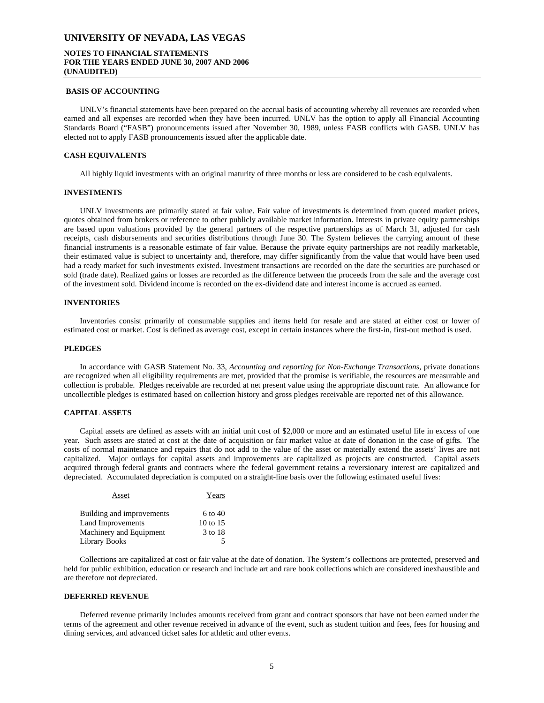# **NOTES TO FINANCIAL STATEMENTS FOR THE YEARS ENDED JUNE 30, 2007 AND 2006 (UNAUDITED)**

#### **BASIS OF ACCOUNTING**

UNLV's financial statements have been prepared on the accrual basis of accounting whereby all revenues are recorded when earned and all expenses are recorded when they have been incurred. UNLV has the option to apply all Financial Accounting Standards Board ("FASB") pronouncements issued after November 30, 1989, unless FASB conflicts with GASB. UNLV has elected not to apply FASB pronouncements issued after the applicable date.

#### **CASH EQUIVALENTS**

All highly liquid investments with an original maturity of three months or less are considered to be cash equivalents.

#### **INVESTMENTS**

UNLV investments are primarily stated at fair value. Fair value of investments is determined from quoted market prices, quotes obtained from brokers or reference to other publicly available market information. Interests in private equity partnerships are based upon valuations provided by the general partners of the respective partnerships as of March 31, adjusted for cash receipts, cash disbursements and securities distributions through June 30. The System believes the carrying amount of these financial instruments is a reasonable estimate of fair value. Because the private equity partnerships are not readily marketable, their estimated value is subject to uncertainty and, therefore, may differ significantly from the value that would have been used had a ready market for such investments existed. Investment transactions are recorded on the date the securities are purchased or sold (trade date). Realized gains or losses are recorded as the difference between the proceeds from the sale and the average cost of the investment sold. Dividend income is recorded on the ex-dividend date and interest income is accrued as earned.

### **INVENTORIES**

Inventories consist primarily of consumable supplies and items held for resale and are stated at either cost or lower of estimated cost or market. Cost is defined as average cost, except in certain instances where the first-in, first-out method is used.

#### **PLEDGES**

In accordance with GASB Statement No. 33, *Accounting and reporting for Non-Exchange Transactions,* private donations are recognized when all eligibility requirements are met, provided that the promise is verifiable, the resources are measurable and collection is probable. Pledges receivable are recorded at net present value using the appropriate discount rate. An allowance for uncollectible pledges is estimated based on collection history and gross pledges receivable are reported net of this allowance.

### **CAPITAL ASSETS**

Capital assets are defined as assets with an initial unit cost of \$2,000 or more and an estimated useful life in excess of one year. Such assets are stated at cost at the date of acquisition or fair market value at date of donation in the case of gifts. The costs of normal maintenance and repairs that do not add to the value of the asset or materially extend the assets' lives are not capitalized. Major outlays for capital assets and improvements are capitalized as projects are constructed. Capital assets acquired through federal grants and contracts where the federal government retains a reversionary interest are capitalized and depreciated. Accumulated depreciation is computed on a straight-line basis over the following estimated useful lives:

| Asset                     | Years    |
|---------------------------|----------|
| Building and improvements | 6 to 40  |
| Land Improvements         | 10 to 15 |
| Machinery and Equipment   | 3 to 18  |
| Library Books             |          |

Collections are capitalized at cost or fair value at the date of donation. The System's collections are protected, preserved and held for public exhibition, education or research and include art and rare book collections which are considered inexhaustible and are therefore not depreciated.

#### **DEFERRED REVENUE**

Deferred revenue primarily includes amounts received from grant and contract sponsors that have not been earned under the terms of the agreement and other revenue received in advance of the event, such as student tuition and fees, fees for housing and dining services, and advanced ticket sales for athletic and other events.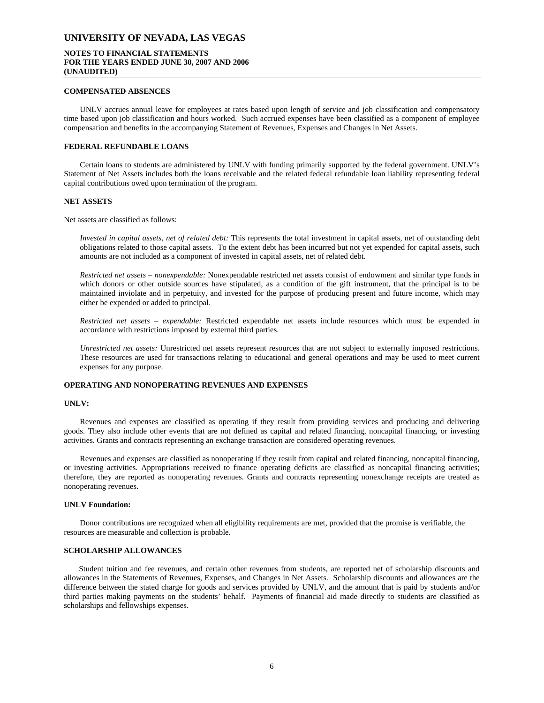# **NOTES TO FINANCIAL STATEMENTS FOR THE YEARS ENDED JUNE 30, 2007 AND 2006 (UNAUDITED)**

### **COMPENSATED ABSENCES**

UNLV accrues annual leave for employees at rates based upon length of service and job classification and compensatory time based upon job classification and hours worked. Such accrued expenses have been classified as a component of employee compensation and benefits in the accompanying Statement of Revenues, Expenses and Changes in Net Assets.

### **FEDERAL REFUNDABLE LOANS**

Certain loans to students are administered by UNLV with funding primarily supported by the federal government. UNLV's Statement of Net Assets includes both the loans receivable and the related federal refundable loan liability representing federal capital contributions owed upon termination of the program.

#### **NET ASSETS**

Net assets are classified as follows:

*Invested in capital assets, net of related debt:* This represents the total investment in capital assets, net of outstanding debt obligations related to those capital assets. To the extent debt has been incurred but not yet expended for capital assets, such amounts are not included as a component of invested in capital assets, net of related debt.

*Restricted net assets – nonexpendable:* Nonexpendable restricted net assets consist of endowment and similar type funds in which donors or other outside sources have stipulated, as a condition of the gift instrument, that the principal is to be maintained inviolate and in perpetuity, and invested for the purpose of producing present and future income, which may either be expended or added to principal.

*Restricted net assets – expendable:* Restricted expendable net assets include resources which must be expended in accordance with restrictions imposed by external third parties.

*Unrestricted net assets:* Unrestricted net assets represent resources that are not subject to externally imposed restrictions. These resources are used for transactions relating to educational and general operations and may be used to meet current expenses for any purpose.

# **OPERATING AND NONOPERATING REVENUES AND EXPENSES**

#### **UNLV:**

Revenues and expenses are classified as operating if they result from providing services and producing and delivering goods. They also include other events that are not defined as capital and related financing, noncapital financing, or investing activities. Grants and contracts representing an exchange transaction are considered operating revenues.

Revenues and expenses are classified as nonoperating if they result from capital and related financing, noncapital financing, or investing activities. Appropriations received to finance operating deficits are classified as noncapital financing activities; therefore, they are reported as nonoperating revenues. Grants and contracts representing nonexchange receipts are treated as nonoperating revenues.

#### **UNLV Foundation:**

Donor contributions are recognized when all eligibility requirements are met, provided that the promise is verifiable, the resources are measurable and collection is probable.

#### **SCHOLARSHIP ALLOWANCES**

Student tuition and fee revenues, and certain other revenues from students, are reported net of scholarship discounts and allowances in the Statements of Revenues, Expenses, and Changes in Net Assets. Scholarship discounts and allowances are the difference between the stated charge for goods and services provided by UNLV, and the amount that is paid by students and/or third parties making payments on the students' behalf. Payments of financial aid made directly to students are classified as scholarships and fellowships expenses.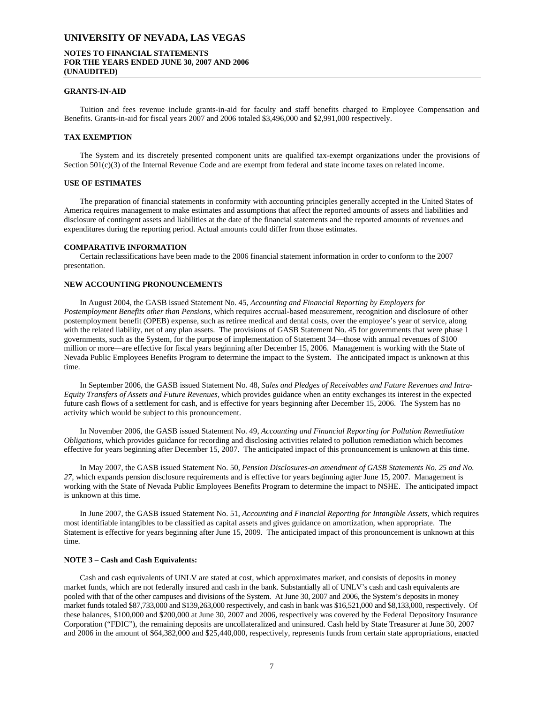# **NOTES TO FINANCIAL STATEMENTS FOR THE YEARS ENDED JUNE 30, 2007 AND 2006 (UNAUDITED)**

#### **GRANTS-IN-AID**

Tuition and fees revenue include grants-in-aid for faculty and staff benefits charged to Employee Compensation and Benefits. Grants-in-aid for fiscal years 2007 and 2006 totaled \$3,496,000 and \$2,991,000 respectively.

# **TAX EXEMPTION**

The System and its discretely presented component units are qualified tax-exempt organizations under the provisions of Section 501(c)(3) of the Internal Revenue Code and are exempt from federal and state income taxes on related income.

### **USE OF ESTIMATES**

The preparation of financial statements in conformity with accounting principles generally accepted in the United States of America requires management to make estimates and assumptions that affect the reported amounts of assets and liabilities and disclosure of contingent assets and liabilities at the date of the financial statements and the reported amounts of revenues and expenditures during the reporting period. Actual amounts could differ from those estimates.

#### **COMPARATIVE INFORMATION**

Certain reclassifications have been made to the 2006 financial statement information in order to conform to the 2007 presentation.

# **NEW ACCOUNTING PRONOUNCEMENTS**

In August 2004, the GASB issued Statement No. 45, *Accounting and Financial Reporting by Employers for Postemployment Benefits other than Pensions,* which requires accrual-based measurement, recognition and disclosure of other postemployment benefit (OPEB) expense, such as retiree medical and dental costs, over the employee's year of service, along with the related liability, net of any plan assets. The provisions of GASB Statement No. 45 for governments that were phase 1 governments, such as the System, for the purpose of implementation of Statement 34—those with annual revenues of \$100 million or more—are effective for fiscal years beginning after December 15, 2006. Management is working with the State of Nevada Public Employees Benefits Program to determine the impact to the System. The anticipated impact is unknown at this time.

In September 2006, the GASB issued Statement No. 48, *Sales and Pledges of Receivables and Future Revenues and Intra-Equity Transfers of Assets and Future Revenues,* which provides guidance when an entity exchanges its interest in the expected future cash flows of a settlement for cash, and is effective for years beginning after December 15, 2006. The System has no activity which would be subject to this pronouncement.

In November 2006, the GASB issued Statement No. 49, *Accounting and Financial Reporting for Pollution Remediation Obligations,* which provides guidance for recording and disclosing activities related to pollution remediation which becomes effective for years beginning after December 15, 2007. The anticipated impact of this pronouncement is unknown at this time.

In May 2007, the GASB issued Statement No. 50, *Pension Disclosures-an amendment of GASB Statements No. 25 and No. 27,* which expands pension disclosure requirements and is effective for years beginning agter June 15, 2007. Management is working with the State of Nevada Public Employees Benefits Program to determine the impact to NSHE. The anticipated impact is unknown at this time.

In June 2007, the GASB issued Statement No. 51, *Accounting and Financial Reporting for Intangible Assets,* which requires most identifiable intangibles to be classified as capital assets and gives guidance on amortization, when appropriate. The Statement is effective for years beginning after June 15, 2009. The anticipated impact of this pronouncement is unknown at this time.

#### **NOTE 3 – Cash and Cash Equivalents:**

Cash and cash equivalents of UNLV are stated at cost, which approximates market, and consists of deposits in money market funds, which are not federally insured and cash in the bank. Substantially all of UNLV's cash and cash equivalents are pooled with that of the other campuses and divisions of the System. At June 30, 2007 and 2006, the System's deposits in money market funds totaled \$87,733,000 and \$139,263,000 respectively, and cash in bank was \$16,521,000 and \$8,133,000, respectively. Of these balances, \$100,000 and \$200,000 at June 30, 2007 and 2006, respectively was covered by the Federal Depository Insurance Corporation ("FDIC"), the remaining deposits are uncollateralized and uninsured. Cash held by State Treasurer at June 30, 2007 and 2006 in the amount of \$64,382,000 and \$25,440,000, respectively, represents funds from certain state appropriations, enacted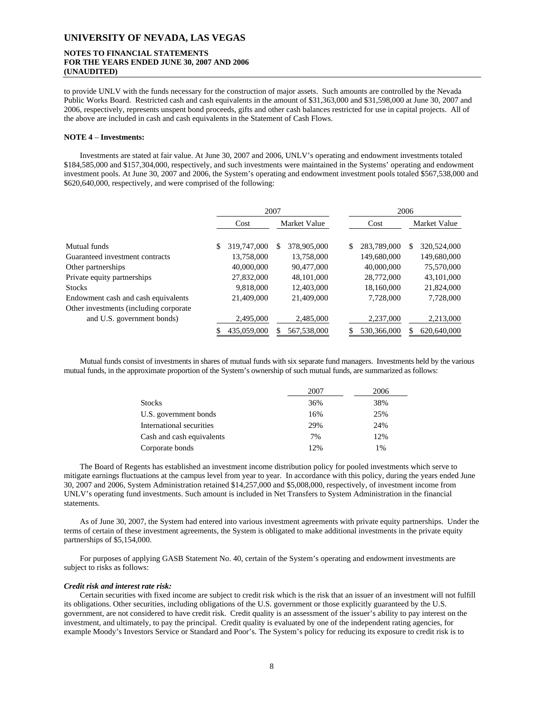# **NOTES TO FINANCIAL STATEMENTS FOR THE YEARS ENDED JUNE 30, 2007 AND 2006 (UNAUDITED)**

to provide UNLV with the funds necessary for the construction of major assets. Such amounts are controlled by the Nevada Public Works Board. Restricted cash and cash equivalents in the amount of \$31,363,000 and \$31,598,000 at June 30, 2007 and 2006, respectively, represents unspent bond proceeds, gifts and other cash balances restricted for use in capital projects. All of the above are included in cash and cash equivalents in the Statement of Cash Flows.

### **NOTE 4** – **Investments:**

Investments are stated at fair value. At June 30, 2007 and 2006, UNLV's operating and endowment investments totaled \$184,585,000 and \$157,304,000, respectively, and such investments were maintained in the Systems' operating and endowment investment pools. At June 30, 2007 and 2006, the System's operating and endowment investment pools totaled \$567,538,000 and \$620,640,000, respectively, and were comprised of the following:

|                                         | 2007              |                   |                   | 2006              |
|-----------------------------------------|-------------------|-------------------|-------------------|-------------------|
|                                         | Cost              | Market Value      | Cost              | Market Value      |
| Mutual funds                            | 319,747,000<br>\$ | 378,905,000<br>\$ | 283,789,000<br>\$ | 320,524,000<br>\$ |
| Guaranteed investment contracts         | 13,758,000        | 13,758,000        | 149,680,000       | 149,680,000       |
| Other partnerships                      | 40,000,000        | 90,477,000        | 40,000,000        | 75,570,000        |
| Private equity partnerships             | 27,832,000        | 48,101,000        | 28,772,000        | 43,101,000        |
| <b>Stocks</b>                           | 9.818,000         | 12,403,000        | 18,160,000        | 21,824,000        |
| Endowment cash and cash equivalents     | 21,409,000        | 21,409,000        | 7,728,000         | 7,728,000         |
| Other investments (including corporate) |                   |                   |                   |                   |
| and U.S. government bonds)              | 2.495,000         | 2.485,000         | 2,237,000         | 2,213,000         |
|                                         | 435,059,000       | 567,538,000       | 530,366,000       | 620,640,000       |

Mutual funds consist of investments in shares of mutual funds with six separate fund managers. Investments held by the various mutual funds, in the approximate proportion of the System's ownership of such mutual funds, are summarized as follows:

|                           | 2007 | 2006  |
|---------------------------|------|-------|
| <b>Stocks</b>             | 36%  | 38%   |
| U.S. government bonds     | 16%  | 25%   |
| International securities  | 29%  | 24%   |
| Cash and cash equivalents | 7%   | 12%   |
| Corporate bonds           | 12%  | $1\%$ |

The Board of Regents has established an investment income distribution policy for pooled investments which serve to mitigate earnings fluctuations at the campus level from year to year. In accordance with this policy, during the years ended June 30, 2007 and 2006, System Administration retained \$14,257,000 and \$5,008,000, respectively, of investment income from UNLV's operating fund investments. Such amount is included in Net Transfers to System Administration in the financial statements.

As of June 30, 2007, the System had entered into various investment agreements with private equity partnerships. Under the terms of certain of these investment agreements, the System is obligated to make additional investments in the private equity partnerships of \$5,154,000.

For purposes of applying GASB Statement No. 40, certain of the System's operating and endowment investments are subject to risks as follows:

### *Credit risk and interest rate risk:*

Certain securities with fixed income are subject to credit risk which is the risk that an issuer of an investment will not fulfill its obligations. Other securities, including obligations of the U.S. government or those explicitly guaranteed by the U.S. government, are not considered to have credit risk. Credit quality is an assessment of the issuer's ability to pay interest on the investment, and ultimately, to pay the principal. Credit quality is evaluated by one of the independent rating agencies, for example Moody's Investors Service or Standard and Poor's. The System's policy for reducing its exposure to credit risk is to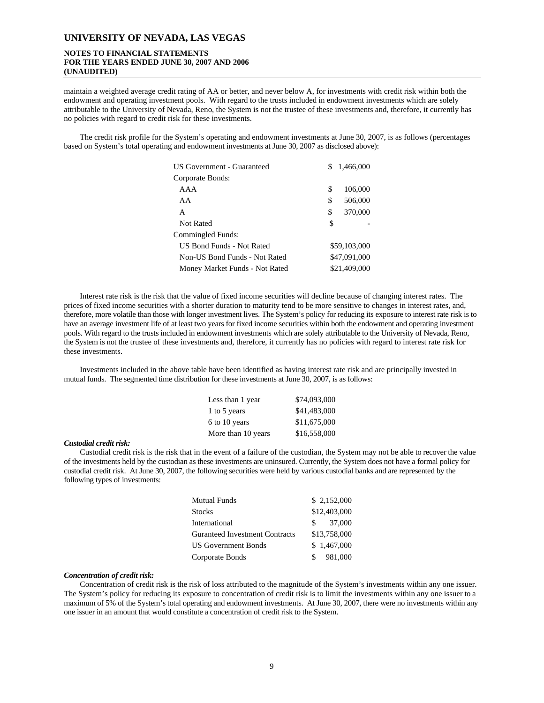# **NOTES TO FINANCIAL STATEMENTS FOR THE YEARS ENDED JUNE 30, 2007 AND 2006 (UNAUDITED)**

maintain a weighted average credit rating of AA or better, and never below A, for investments with credit risk within both the endowment and operating investment pools. With regard to the trusts included in endowment investments which are solely attributable to the University of Nevada, Reno, the System is not the trustee of these investments and, therefore, it currently has no policies with regard to credit risk for these investments.

The credit risk profile for the System's operating and endowment investments at June 30, 2007, is as follows (percentages based on System's total operating and endowment investments at June 30, 2007 as disclosed above):

| US Government - Guaranteed     | S  | 1,466,000    |
|--------------------------------|----|--------------|
| Corporate Bonds:               |    |              |
| AAA                            | S  | 106,000      |
| AA                             | S  | 506,000      |
| A                              | \$ | 370,000      |
| Not Rated                      | \$ |              |
| Commingled Funds:              |    |              |
| US Bond Funds - Not Rated      |    | \$59,103,000 |
| Non-US Bond Funds - Not Rated  |    | \$47,091,000 |
| Money Market Funds - Not Rated |    | \$21,409,000 |

Interest rate risk is the risk that the value of fixed income securities will decline because of changing interest rates. The prices of fixed income securities with a shorter duration to maturity tend to be more sensitive to changes in interest rates, and, therefore, more volatile than those with longer investment lives. The System's policy for reducing its exposure to interest rate risk is to have an average investment life of at least two years for fixed income securities within both the endowment and operating investment pools. With regard to the trusts included in endowment investments which are solely attributable to the University of Nevada, Reno, the System is not the trustee of these investments and, therefore, it currently has no policies with regard to interest rate risk for these investments.

Investments included in the above table have been identified as having interest rate risk and are principally invested in mutual funds. The segmented time distribution for these investments at June 30, 2007, is as follows:

| Less than 1 year   | \$74,093,000 |
|--------------------|--------------|
| 1 to 5 years       | \$41,483,000 |
| 6 to 10 years      | \$11,675,000 |
| More than 10 years | \$16,558,000 |

### *Custodial credit risk:*

Custodial credit risk is the risk that in the event of a failure of the custodian, the System may not be able to recover the value of the investments held by the custodian as these investments are uninsured. Currently, the System does not have a formal policy for custodial credit risk. At June 30, 2007, the following securities were held by various custodial banks and are represented by the following types of investments:

| <b>Mutual Funds</b>            | \$2,152,000   |
|--------------------------------|---------------|
| <b>Stocks</b>                  | \$12,403,000  |
| International                  | 37,000<br>S.  |
| Guranteed Investment Contracts | \$13,758,000  |
| <b>US Government Bonds</b>     | \$1,467,000   |
| Corporate Bonds                | 981,000<br>S. |

#### *Concentration of credit risk:*

Concentration of credit risk is the risk of loss attributed to the magnitude of the System's investments within any one issuer. The System's policy for reducing its exposure to concentration of credit risk is to limit the investments within any one issuer to a maximum of 5% of the System's total operating and endowment investments. At June 30, 2007, there were no investments within any one issuer in an amount that would constitute a concentration of credit risk to the System.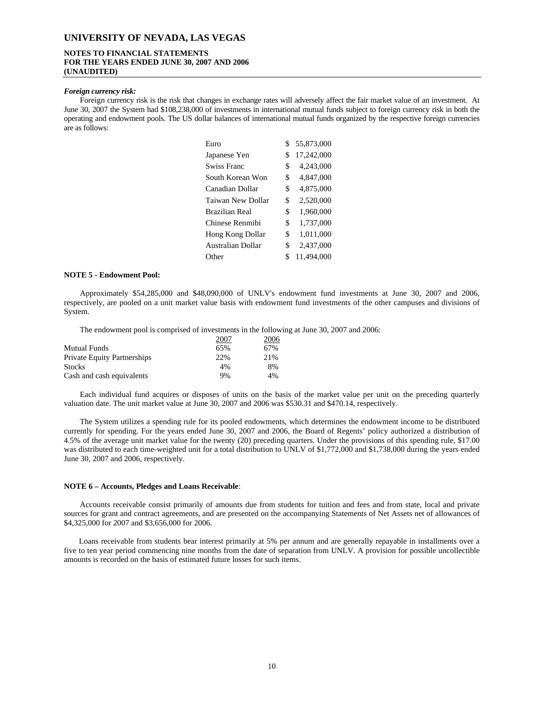# **NOTES TO FINANCIAL STATEMENTS FOR THE YEARS ENDED JUNE 30, 2007 AND 2006 (UNAUDITED)**

#### *Foreign currency risk:*

Foreign currency risk is the risk that changes in exchange rates will adversely affect the fair market value of an investment. At June 30, 2007 the System had \$108,238,000 of investments in international mutual funds subject to foreign currency risk in both the operating and endowment pools. The US dollar balances of international mutual funds organized by the respective foreign currencies are as follows:

| Euro                    | S  | 55,873,000 |
|-------------------------|----|------------|
| Japanese Yen            | \$ | 17,242,000 |
| <b>Swiss Franc</b>      | \$ | 4,243,000  |
| South Korean Won        | \$ | 4,847,000  |
| Canadian Dollar         | \$ | 4,875,000  |
| Taiwan New Dollar       | \$ | 2,520,000  |
| <b>Brazilian Real</b>   | \$ | 1,960,000  |
| Chinese Renmibi         | \$ | 1,737,000  |
| <b>Hong Kong Dollar</b> | \$ | 1,011,000  |
| Australian Dollar       | \$ | 2,437,000  |
| Other                   | S  | 11.494.000 |

#### **NOTE 5 - Endowment Pool:**

Approximately \$54,285,000 and \$48,090,000 of UNLV's endowment fund investments at June 30, 2007 and 2006, respectively, are pooled on a unit market value basis with endowment fund investments of the other campuses and divisions of System.

The endowment pool is comprised of investments in the following at June 30, 2007 and 2006:

|                                    | 2007 | 2006 |
|------------------------------------|------|------|
| <b>Mutual Funds</b>                | 65%  | 67%  |
| <b>Private Equity Partnerships</b> | 22%  | 21%  |
| <b>Stocks</b>                      | 4%   | 8%   |
| Cash and cash equivalents          | 9%   | 4%   |

Each individual fund acquires or disposes of units on the basis of the market value per unit on the preceding quarterly valuation date. The unit market value at June 30, 2007 and 2006 was \$530.31 and \$470.14, respectively.

The System utilizes a spending rule for its pooled endowments, which determines the endowment income to be distributed currently for spending. For the years ended June 30, 2007 and 2006, the Board of Regents' policy authorized a distribution of 4.5% of the average unit market value for the twenty (20) preceding quarters. Under the provisions of this spending rule, \$17.00 was distributed to each time-weighted unit for a total distribution to UNLV of \$1,772,000 and \$1,738,000 during the years ended June 30, 2007 and 2006, respectively.

#### **NOTE 6 – Accounts, Pledges and Loans Receivable**:

Accounts receivable consist primarily of amounts due from students for tuition and fees and from state, local and private sources for grant and contract agreements, and are presented on the accompanying Statements of Net Assets net of allowances of \$4,325,000 for 2007 and \$3,656,000 for 2006.

Loans receivable from students bear interest primarily at 5% per annum and are generally repayable in installments over a five to ten year period commencing nine months from the date of separation from UNLV. A provision for possible uncollectible amounts is recorded on the basis of estimated future losses for such items.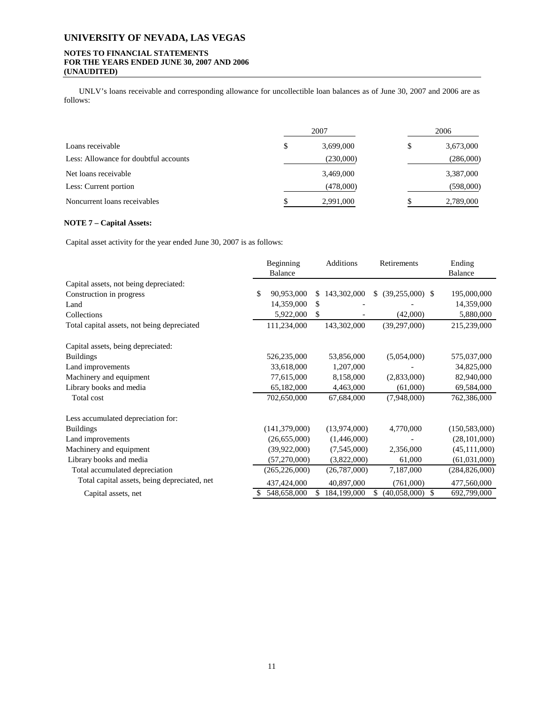# **NOTES TO FINANCIAL STATEMENTS FOR THE YEARS ENDED JUNE 30, 2007 AND 2006 (UNAUDITED)**

UNLV's loans receivable and corresponding allowance for uncollectible loan balances as of June 30, 2007 and 2006 are as follows:

|                                       |   | 2007      | 2006 |           |  |  |
|---------------------------------------|---|-----------|------|-----------|--|--|
| Loans receivable                      | S | 3,699,000 | \$   | 3,673,000 |  |  |
| Less: Allowance for doubtful accounts |   | (230,000) |      | (286,000) |  |  |
| Net loans receivable                  |   | 3,469,000 |      | 3,387,000 |  |  |
| Less: Current portion                 |   | (478,000) |      | (598,000) |  |  |
| Noncurrent loans receivables          |   | 2,991,000 |      | 2,789,000 |  |  |

# **NOTE 7 – Capital Assets:**

Capital asset activity for the year ended June 30, 2007 is as follows:

|                                              | Beginning<br>Balance |          | Additions    | Retirements              | Ending<br><b>Balance</b> |
|----------------------------------------------|----------------------|----------|--------------|--------------------------|--------------------------|
| Capital assets, not being depreciated:       |                      |          |              |                          |                          |
| Construction in progress                     | \$<br>90,953,000     | \$.      | 143,302,000  | $(39,255,000)$ \$<br>\$. | 195,000,000              |
| Land                                         | 14,359,000           | <b>S</b> |              |                          | 14,359,000               |
| Collections                                  | 5,922,000            | S        |              | (42,000)                 | 5,880,000                |
| Total capital assets, not being depreciated  | 111,234,000          |          | 143,302,000  | (39, 297, 000)           | 215,239,000              |
| Capital assets, being depreciated:           |                      |          |              |                          |                          |
| <b>Buildings</b>                             | 526,235,000          |          | 53,856,000   | (5,054,000)              | 575,037,000              |
| Land improvements                            | 33,618,000           |          | 1,207,000    |                          | 34,825,000               |
| Machinery and equipment                      | 77,615,000           |          | 8,158,000    | (2,833,000)              | 82,940,000               |
| Library books and media                      | 65,182,000           |          | 4,463,000    | (61,000)                 | 69,584,000               |
| Total cost                                   | 702,650,000          |          | 67,684,000   | (7,948,000)              | 762,386,000              |
| Less accumulated depreciation for:           |                      |          |              |                          |                          |
| <b>Buildings</b>                             | (141, 379, 000)      |          | (13,974,000) | 4,770,000                | (150, 583, 000)          |
| Land improvements                            | (26,655,000)         |          | (1,446,000)  |                          | (28, 101, 000)           |
| Machinery and equipment                      | (39, 922, 000)       |          | (7,545,000)  | 2,356,000                | (45, 111, 000)           |
| Library books and media                      | (57,270,000)         |          | (3,822,000)  | 61,000                   | (61,031,000)             |
| Total accumulated depreciation               | (265, 226, 000)      |          | (26,787,000) | 7,187,000                | (284, 826, 000)          |
| Total capital assets, being depreciated, net | 437,424,000          |          | 40,897,000   | (761,000)                | 477,560,000              |
| Capital assets, net                          | 548,658,000          |          | 184,199,000  | \$<br>(40,058,000)       | 692,799,000              |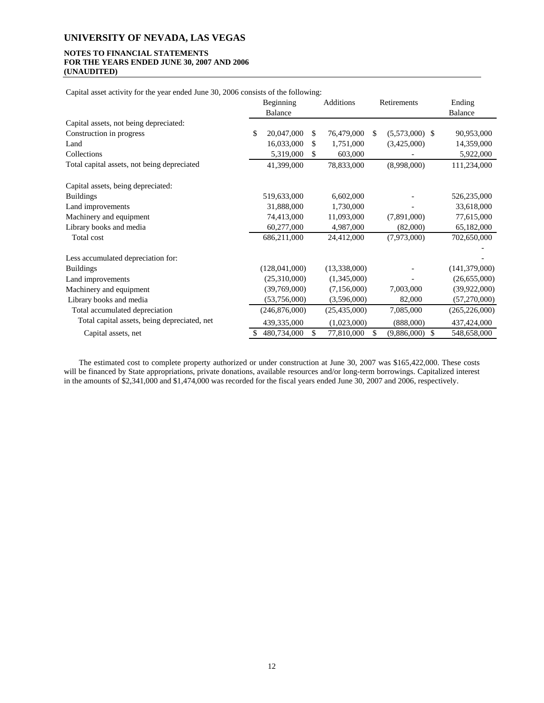# **NOTES TO FINANCIAL STATEMENTS FOR THE YEARS ENDED JUNE 30, 2007 AND 2006 (UNAUDITED)**

Capital asset activity for the year ended June 30, 2006 consists of the following:

|                                              | Beginning        |     | Additions      |    | Retirements         | Ending          |
|----------------------------------------------|------------------|-----|----------------|----|---------------------|-----------------|
|                                              | <b>Balance</b>   |     |                |    |                     | Balance         |
| Capital assets, not being depreciated:       |                  |     |                |    |                     |                 |
| Construction in progress                     | \$<br>20,047,000 | \$. | 76,479,000     | -S | $(5,573,000)$ \$    | 90,953,000      |
| Land                                         | 16,033,000       | \$  | 1,751,000      |    | (3,425,000)         | 14,359,000      |
| Collections                                  | 5,319,000        | \$  | 603,000        |    |                     | 5,922,000       |
| Total capital assets, not being depreciated  | 41,399,000       |     | 78,833,000     |    | (8,998,000)         | 111,234,000     |
| Capital assets, being depreciated:           |                  |     |                |    |                     |                 |
| <b>Buildings</b>                             | 519,633,000      |     | 6,602,000      |    |                     | 526,235,000     |
| Land improvements                            | 31,888,000       |     | 1,730,000      |    |                     | 33,618,000      |
| Machinery and equipment                      | 74,413,000       |     | 11,093,000     |    | (7,891,000)         | 77,615,000      |
| Library books and media                      | 60,277,000       |     | 4,987,000      |    | (82,000)            | 65,182,000      |
| Total cost                                   | 686,211,000      |     | 24,412,000     |    | (7,973,000)         | 702,650,000     |
| Less accumulated depreciation for:           |                  |     |                |    |                     |                 |
| <b>Buildings</b>                             | (128,041,000)    |     | (13,338,000)   |    |                     | (141, 379, 000) |
| Land improvements                            | (25,310,000)     |     | (1,345,000)    |    |                     | (26, 655, 000)  |
| Machinery and equipment                      | (39,769,000)     |     | (7,156,000)    |    | 7,003,000           | (39, 922, 000)  |
| Library books and media                      | (53,756,000)     |     | (3,596,000)    |    | 82,000              | (57,270,000)    |
| Total accumulated depreciation               | (246,876,000)    |     | (25, 435, 000) |    | 7,085,000           | (265, 226, 000) |
| Total capital assets, being depreciated, net | 439,335,000      |     | (1,023,000)    |    | (888,000)           | 437,424,000     |
| Capital assets, net                          | 480,734,000      | \$  | 77,810,000     | \$ | - \$<br>(9,886,000) | 548,658,000     |

The estimated cost to complete property authorized or under construction at June 30, 2007 was \$165,422,000. These costs will be financed by State appropriations, private donations, available resources and/or long-term borrowings. Capitalized interest in the amounts of \$2,341,000 and \$1,474,000 was recorded for the fiscal years ended June 30, 2007 and 2006, respectively.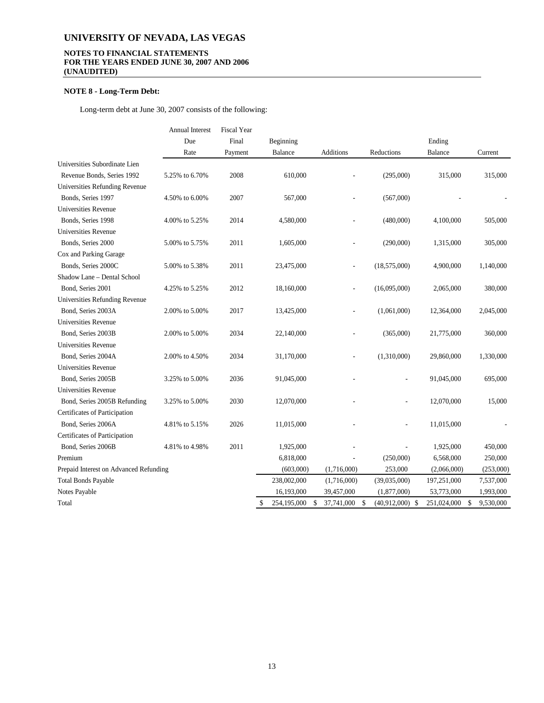# **NOTES TO FINANCIAL STATEMENTS FOR THE YEARS ENDED JUNE 30, 2007 AND 2006 (UNAUDITED)**

# **NOTE 8 - Long-Term Debt:**

Long-term debt at June 30, 2007 consists of the following:

|                                        | <b>Annual Interest</b> | <b>Fiscal Year</b> |                         |                             |                   |             |                 |
|----------------------------------------|------------------------|--------------------|-------------------------|-----------------------------|-------------------|-------------|-----------------|
|                                        | Due                    | Final              | Beginning               |                             |                   | Ending      |                 |
|                                        | Rate                   | Payment            | Balance                 | Additions                   | Reductions        | Balance     | Current         |
| Universities Subordinate Lien          |                        |                    |                         |                             |                   |             |                 |
| Revenue Bonds, Series 1992             | 5.25% to 6.70%         | 2008               | 610,000                 |                             | (295,000)         | 315,000     | 315,000         |
| Universities Refunding Revenue         |                        |                    |                         |                             |                   |             |                 |
| Bonds, Series 1997                     | 4.50% to 6.00%         | 2007               | 567,000                 |                             | (567,000)         |             |                 |
| Universities Revenue                   |                        |                    |                         |                             |                   |             |                 |
| Bonds, Series 1998                     | 4.00% to 5.25%         | 2014               | 4,580,000               |                             | (480,000)         | 4,100,000   | 505,000         |
| Universities Revenue                   |                        |                    |                         |                             |                   |             |                 |
| Bonds, Series 2000                     | 5.00% to 5.75%         | 2011               | 1,605,000               |                             | (290,000)         | 1,315,000   | 305,000         |
| Cox and Parking Garage                 |                        |                    |                         |                             |                   |             |                 |
| Bonds, Series 2000C                    | 5.00% to 5.38%         | 2011               | 23,475,000              |                             | (18,575,000)      | 4,900,000   | 1,140,000       |
| Shadow Lane - Dental School            |                        |                    |                         |                             |                   |             |                 |
| Bond, Series 2001                      | 4.25% to 5.25%         | 2012               | 18,160,000              |                             | (16,095,000)      | 2,065,000   | 380,000         |
| Universities Refunding Revenue         |                        |                    |                         |                             |                   |             |                 |
| Bond, Series 2003A                     | 2.00% to 5.00%         | 2017               | 13,425,000              |                             | (1,061,000)       | 12,364,000  | 2,045,000       |
| Universities Revenue                   |                        |                    |                         |                             |                   |             |                 |
| Bond, Series 2003B                     | 2.00% to 5.00%         | 2034               | 22,140,000              |                             | (365,000)         | 21,775,000  | 360,000         |
| Universities Revenue                   |                        |                    |                         |                             |                   |             |                 |
| Bond, Series 2004A                     | 2.00% to 4.50%         | 2034               | 31,170,000              |                             | (1,310,000)       | 29,860,000  | 1,330,000       |
| Universities Revenue                   |                        |                    |                         |                             |                   |             |                 |
| Bond, Series 2005B                     | 3.25% to 5.00%         | 2036               | 91,045,000              |                             |                   | 91,045,000  | 695,000         |
| <b>Universities Revenue</b>            |                        |                    |                         |                             |                   |             |                 |
| Bond, Series 2005B Refunding           | 3.25% to 5.00%         | 2030               | 12,070,000              |                             |                   | 12,070,000  | 15,000          |
| Certificates of Participation          |                        |                    |                         |                             |                   |             |                 |
| Bond, Series 2006A                     | 4.81% to 5.15%         | 2026               | 11,015,000              |                             |                   | 11,015,000  |                 |
| Certificates of Participation          |                        |                    |                         |                             |                   |             |                 |
| Bond, Series 2006B                     | 4.81% to 4.98%         | 2011               | 1,925,000               |                             |                   | 1,925,000   | 450,000         |
| Premium                                |                        |                    | 6,818,000               |                             | (250,000)         | 6,568,000   | 250,000         |
| Prepaid Interest on Advanced Refunding |                        |                    | (603,000)               | (1,716,000)                 | 253,000           | (2,066,000) | (253,000)       |
| <b>Total Bonds Payable</b>             |                        |                    | 238,002,000             | (1,716,000)                 | (39,035,000)      | 197,251,000 | 7,537,000       |
| Notes Payable                          |                        |                    | 16,193,000              | 39,457,000                  | (1,877,000)       | 53,773,000  | 1,993,000       |
| Total                                  |                        |                    | \$<br>254,195,000<br>\$ | 37,741,000<br>$\mathcal{S}$ | $(40,912,000)$ \$ | 251,024,000 | \$<br>9,530,000 |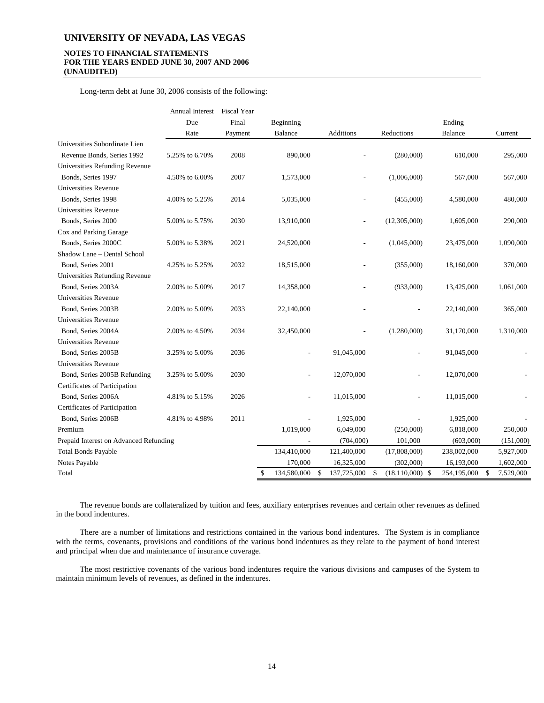# **NOTES TO FINANCIAL STATEMENTS FOR THE YEARS ENDED JUNE 30, 2007 AND 2006 (UNAUDITED)**

Long-term debt at June 30, 2006 consists of the following:

|                                        | Annual Interest | <b>Fiscal Year</b> |                   |                   |                   |                |                 |
|----------------------------------------|-----------------|--------------------|-------------------|-------------------|-------------------|----------------|-----------------|
|                                        | Due             | Final              | Beginning         |                   |                   | Ending         |                 |
|                                        | Rate            | Payment            | Balance           | <b>Additions</b>  | Reductions        | <b>Balance</b> | Current         |
| Universities Subordinate Lien          |                 |                    |                   |                   |                   |                |                 |
| Revenue Bonds, Series 1992             | 5.25% to 6.70%  | 2008               | 890,000           |                   | (280,000)         | 610,000        | 295,000         |
| Universities Refunding Revenue         |                 |                    |                   |                   |                   |                |                 |
| Bonds, Series 1997                     | 4.50% to 6.00%  | 2007               | 1,573,000         |                   | (1,006,000)       | 567,000        | 567,000         |
| <b>Universities Revenue</b>            |                 |                    |                   |                   |                   |                |                 |
| Bonds, Series 1998                     | 4.00% to 5.25%  | 2014               | 5,035,000         |                   | (455,000)         | 4,580,000      | 480,000         |
| <b>Universities Revenue</b>            |                 |                    |                   |                   |                   |                |                 |
| Bonds, Series 2000                     | 5.00% to 5.75%  | 2030               | 13,910,000        | $\overline{a}$    | (12,305,000)      | 1,605,000      | 290,000         |
| Cox and Parking Garage                 |                 |                    |                   |                   |                   |                |                 |
| Bonds, Series 2000C                    | 5.00% to 5.38%  | 2021               | 24,520,000        |                   | (1,045,000)       | 23,475,000     | 1,090,000       |
| Shadow Lane - Dental School            |                 |                    |                   |                   |                   |                |                 |
| Bond, Series 2001                      | 4.25% to 5.25%  | 2032               | 18,515,000        |                   | (355,000)         | 18,160,000     | 370,000         |
| Universities Refunding Revenue         |                 |                    |                   |                   |                   |                |                 |
| Bond, Series 2003A                     | 2.00% to 5.00%  | 2017               | 14,358,000        |                   | (933,000)         | 13,425,000     | 1,061,000       |
| Universities Revenue                   |                 |                    |                   |                   |                   |                |                 |
| Bond, Series 2003B                     | 2.00% to 5.00%  | 2033               | 22,140,000        |                   |                   | 22,140,000     | 365,000         |
| <b>Universities Revenue</b>            |                 |                    |                   |                   |                   |                |                 |
| Bond, Series 2004A                     | 2.00% to 4.50%  | 2034               | 32,450,000        |                   | (1,280,000)       | 31,170,000     | 1,310,000       |
| <b>Universities Revenue</b>            |                 |                    |                   |                   |                   |                |                 |
| Bond, Series 2005B                     | 3.25% to 5.00%  | 2036               |                   | 91,045,000        |                   | 91,045,000     |                 |
| <b>Universities Revenue</b>            |                 |                    |                   |                   |                   |                |                 |
| Bond, Series 2005B Refunding           | 3.25% to 5.00%  | 2030               |                   | 12,070,000        |                   | 12,070,000     |                 |
| Certificates of Participation          |                 |                    |                   |                   |                   |                |                 |
| Bond, Series 2006A                     | 4.81% to 5.15%  | 2026               |                   | 11,015,000        |                   | 11,015,000     |                 |
| Certificates of Participation          |                 |                    |                   |                   |                   |                |                 |
| Bond, Series 2006B                     | 4.81% to 4.98%  | 2011               |                   | 1,925,000         |                   | 1,925,000      |                 |
| Premium                                |                 |                    | 1,019,000         | 6,049,000         | (250,000)         | 6,818,000      | 250,000         |
| Prepaid Interest on Advanced Refunding |                 |                    |                   | (704,000)         | 101,000           | (603,000)      | (151,000)       |
| <b>Total Bonds Payable</b>             |                 |                    | 134,410,000       | 121,400,000       | (17,808,000)      | 238,002,000    | 5,927,000       |
| Notes Payable                          |                 |                    | 170,000           | 16,325,000        | (302,000)         | 16,193,000     | 1,602,000       |
| Total                                  |                 | \$                 | 134,580,000<br>\$ | 137,725,000<br>\$ | $(18,110,000)$ \$ | 254,195,000    | \$<br>7,529,000 |

The revenue bonds are collateralized by tuition and fees, auxiliary enterprises revenues and certain other revenues as defined in the bond indentures.

There are a number of limitations and restrictions contained in the various bond indentures. The System is in compliance with the terms, covenants, provisions and conditions of the various bond indentures as they relate to the payment of bond interest and principal when due and maintenance of insurance coverage.

The most restrictive covenants of the various bond indentures require the various divisions and campuses of the System to maintain minimum levels of revenues, as defined in the indentures.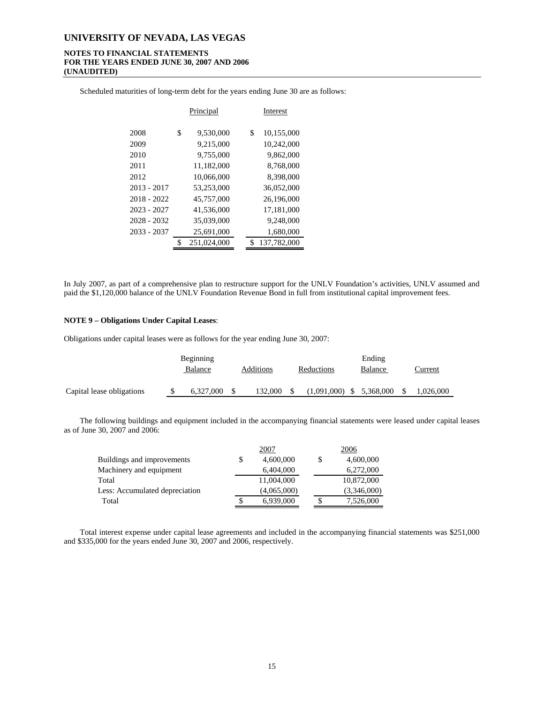### **NOTES TO FINANCIAL STATEMENTS FOR THE YEARS ENDED JUNE 30, 2007 AND 2006 (UNAUDITED)**

Scheduled maturities of long-term debt for the years ending June 30 are as follows:

|    | Principal   |  | Interest |             |
|----|-------------|--|----------|-------------|
| \$ | 9,530,000   |  | \$       | 10,155,000  |
|    | 9,215,000   |  |          | 10,242,000  |
|    | 9,755,000   |  |          | 9,862,000   |
|    | 11,182,000  |  |          | 8.768,000   |
|    | 10,066,000  |  |          | 8,398,000   |
|    | 53,253,000  |  |          | 36,052,000  |
|    | 45,757,000  |  |          | 26,196,000  |
|    | 41,536,000  |  |          | 17,181,000  |
|    | 35,039,000  |  |          | 9,248,000   |
|    | 25,691,000  |  |          | 1,680,000   |
| ፍ  | 251,024,000 |  | \$       | 137,782,000 |
|    |             |  |          |             |

In July 2007, as part of a comprehensive plan to restructure support for the UNLV Foundation's activities, UNLV assumed and paid the \$1,120,000 balance of the UNLV Foundation Revenue Bond in full from institutional capital improvement fees.

#### **NOTE 9 – Obligations Under Capital Leases**:

Obligations under capital leases were as follows for the year ending June 30, 2007:

|                           | Beginning |  | Ending    |                  |  |           |    |           |
|---------------------------|-----------|--|-----------|------------------|--|-----------|----|-----------|
|                           | Balance   |  | Additions | Reductions       |  | Balance   |    | Current   |
| Capital lease obligations | 6.327,000 |  | 132.000   | $(1,091,000)$ \$ |  | 5,368,000 | -S | 1,026,000 |

The following buildings and equipment included in the accompanying financial statements were leased under capital leases as of June 30, 2007 and 2006:

|                                | 2007        | 2006        |
|--------------------------------|-------------|-------------|
| Buildings and improvements     | 4,600,000   | 4,600,000   |
| Machinery and equipment        | 6,404,000   | 6,272,000   |
| Total                          | 11,004,000  | 10,872,000  |
| Less: Accumulated depreciation | (4,065,000) | (3,346,000) |
| Total                          | 6,939,000   | 7,526,000   |

Total interest expense under capital lease agreements and included in the accompanying financial statements was \$251,000 and \$335,000 for the years ended June 30, 2007 and 2006, respectively.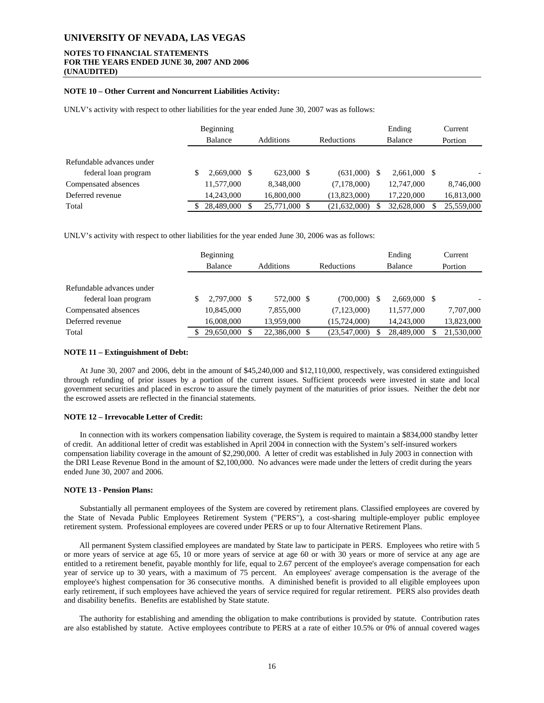# **NOTES TO FINANCIAL STATEMENTS FOR THE YEARS ENDED JUNE 30, 2007 AND 2006 (UNAUDITED)**

#### **NOTE 10 – Other Current and Noncurrent Liabilities Activity:**

UNLV's activity with respect to other liabilities for the year ended June 30, 2007 was as follows:

|                           | Beginning  |                  |              |     | Ending         | Current    |
|---------------------------|------------|------------------|--------------|-----|----------------|------------|
|                           | Balance    | <b>Additions</b> | Reductions   |     | <b>Balance</b> | Portion    |
|                           |            |                  |              |     |                |            |
| Refundable advances under |            |                  |              |     |                |            |
| federal loan program      | 2.669,000  | 623,000 \$       | (631,000)    | \$. | $2.661,000$ \$ |            |
| Compensated absences      | 11,577,000 | 8,348,000        | (7,178,000)  |     | 12,747,000     | 8,746,000  |
| Deferred revenue          | 14.243,000 | 16,800,000       | (13,823,000) |     | 17.220,000     | 16,813,000 |
| Total                     | 28,489,000 | 25,771,000       | (21,632,000) |     | 32,628,000     | 25,559,000 |

UNLV's activity with respect to other liabilities for the year ended June 30, 2006 was as follows:

|                           | Beginning    |                  |                |   | Ending         | Current    |
|---------------------------|--------------|------------------|----------------|---|----------------|------------|
|                           | Balance      | <b>Additions</b> | Reductions     |   | Balance        | Portion    |
|                           |              |                  |                |   |                |            |
| Refundable advances under |              |                  |                |   |                |            |
| federal loan program      | 2,797,000 \$ | 572,000 \$       | (700,000)      | S | $2,669,000$ \$ |            |
| Compensated absences      | 10,845,000   | 7.855.000        | (7,123,000)    |   | 11,577,000     | 7,707,000  |
| Deferred revenue          | 16,008,000   | 13.959.000       | (15, 724, 000) |   | 14.243,000     | 13,823,000 |
| Total                     | 29,650,000   | 22,386,000 \$    | (23,547,000)   |   | 28,489,000     | 21,530,000 |

#### **NOTE 11 – Extinguishment of Debt:**

At June 30, 2007 and 2006, debt in the amount of \$45,240,000 and \$12,110,000, respectively, was considered extinguished through refunding of prior issues by a portion of the current issues. Sufficient proceeds were invested in state and local government securities and placed in escrow to assure the timely payment of the maturities of prior issues. Neither the debt nor the escrowed assets are reflected in the financial statements.

#### **NOTE 12 – Irrevocable Letter of Credit:**

In connection with its workers compensation liability coverage, the System is required to maintain a \$834,000 standby letter of credit. An additional letter of credit was established in April 2004 in connection with the System's self-insured workers compensation liability coverage in the amount of \$2,290,000. A letter of credit was established in July 2003 in connection with the DRI Lease Revenue Bond in the amount of \$2,100,000. No advances were made under the letters of credit during the years ended June 30, 2007 and 2006.

#### **NOTE 13 - Pension Plans:**

Substantially all permanent employees of the System are covered by retirement plans. Classified employees are covered by the State of Nevada Public Employees Retirement System ("PERS"), a cost-sharing multiple-employer public employee retirement system. Professional employees are covered under PERS or up to four Alternative Retirement Plans.

All permanent System classified employees are mandated by State law to participate in PERS. Employees who retire with 5 or more years of service at age 65, 10 or more years of service at age 60 or with 30 years or more of service at any age are entitled to a retirement benefit, payable monthly for life, equal to 2.67 percent of the employee's average compensation for each year of service up to 30 years, with a maximum of 75 percent. An employees' average compensation is the average of the employee's highest compensation for 36 consecutive months. A diminished benefit is provided to all eligible employees upon early retirement, if such employees have achieved the years of service required for regular retirement. PERS also provides death and disability benefits. Benefits are established by State statute.

The authority for establishing and amending the obligation to make contributions is provided by statute. Contribution rates are also established by statute. Active employees contribute to PERS at a rate of either 10.5% or 0% of annual covered wages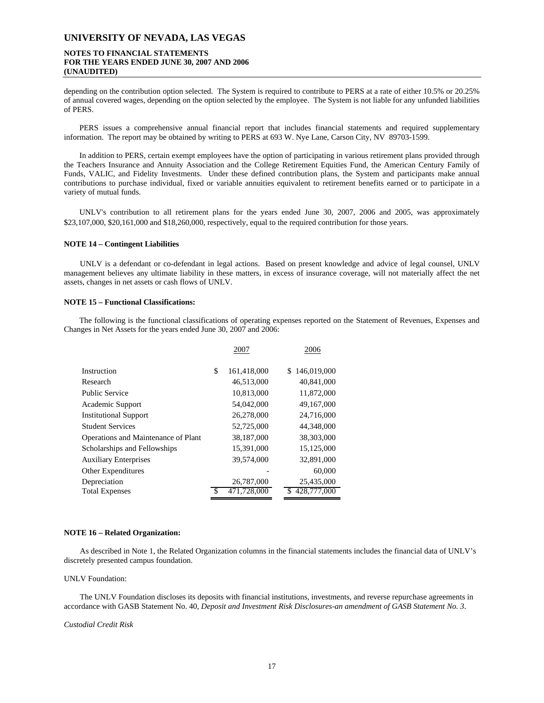# **NOTES TO FINANCIAL STATEMENTS FOR THE YEARS ENDED JUNE 30, 2007 AND 2006 (UNAUDITED)**

depending on the contribution option selected. The System is required to contribute to PERS at a rate of either 10.5% or 20.25% of annual covered wages, depending on the option selected by the employee. The System is not liable for any unfunded liabilities of PERS.

PERS issues a comprehensive annual financial report that includes financial statements and required supplementary information. The report may be obtained by writing to PERS at 693 W. Nye Lane, Carson City, NV 89703-1599.

In addition to PERS, certain exempt employees have the option of participating in various retirement plans provided through the Teachers Insurance and Annuity Association and the College Retirement Equities Fund, the American Century Family of Funds, VALIC, and Fidelity Investments. Under these defined contribution plans, the System and participants make annual contributions to purchase individual, fixed or variable annuities equivalent to retirement benefits earned or to participate in a variety of mutual funds.

UNLV's contribution to all retirement plans for the years ended June 30, 2007, 2006 and 2005, was approximately \$23,107,000, \$20,161,000 and \$18,260,000, respectively, equal to the required contribution for those years.

#### **NOTE 14 – Contingent Liabilities**

UNLV is a defendant or co-defendant in legal actions. Based on present knowledge and advice of legal counsel, UNLV management believes any ultimate liability in these matters, in excess of insurance coverage, will not materially affect the net assets, changes in net assets or cash flows of UNLV.

#### **NOTE 15 – Functional Classifications:**

The following is the functional classifications of operating expenses reported on the Statement of Revenues, Expenses and Changes in Net Assets for the years ended June 30, 2007 and 2006:

|                                     | 2007              | 2006              |
|-------------------------------------|-------------------|-------------------|
| Instruction                         | \$<br>161,418,000 | 146,019,000<br>\$ |
| Research                            | 46,513,000        | 40,841,000        |
| <b>Public Service</b>               | 10,813,000        | 11,872,000        |
| Academic Support                    | 54,042,000        | 49.167.000        |
| <b>Institutional Support</b>        | 26,278,000        | 24,716,000        |
| <b>Student Services</b>             | 52,725,000        | 44,348,000        |
| Operations and Maintenance of Plant | 38,187,000        | 38,303,000        |
| Scholarships and Fellowships        | 15,391,000        | 15,125,000        |
| <b>Auxiliary Enterprises</b>        | 39,574,000        | 32,891,000        |
| <b>Other Expenditures</b>           |                   | 60,000            |
| Depreciation                        | 26,787,000        | 25,435,000        |
| <b>Total Expenses</b>               | \$<br>471,728,000 | 428,777,000       |

#### **NOTE 16 – Related Organization:**

As described in Note 1, the Related Organization columns in the financial statements includes the financial data of UNLV's discretely presented campus foundation.

#### UNLV Foundation:

The UNLV Foundation discloses its deposits with financial institutions, investments, and reverse repurchase agreements in accordance with GASB Statement No. 40, *Deposit and Investment Risk Disclosures-an amendment of GASB Statement No. 3*.

#### *Custodial Credit Risk*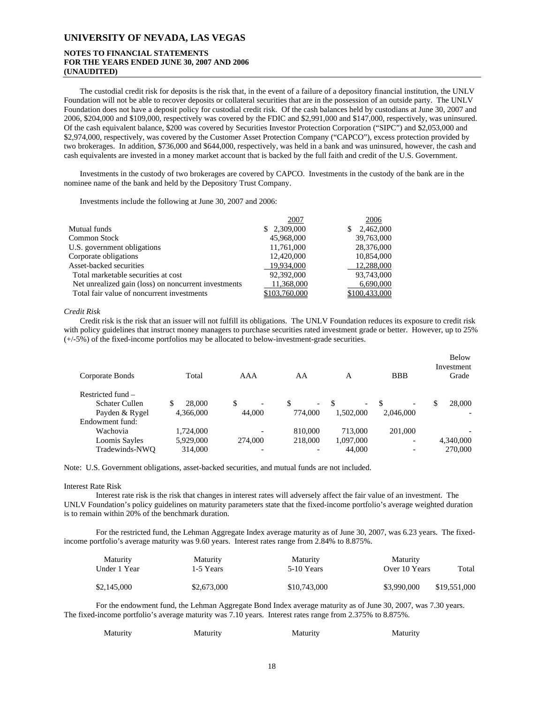# **NOTES TO FINANCIAL STATEMENTS FOR THE YEARS ENDED JUNE 30, 2007 AND 2006 (UNAUDITED)**

The custodial credit risk for deposits is the risk that, in the event of a failure of a depository financial institution, the UNLV Foundation will not be able to recover deposits or collateral securities that are in the possession of an outside party. The UNLV Foundation does not have a deposit policy for custodial credit risk. Of the cash balances held by custodians at June 30, 2007 and 2006, \$204,000 and \$109,000, respectively was covered by the FDIC and \$2,991,000 and \$147,000, respectively, was uninsured. Of the cash equivalent balance, \$200 was covered by Securities Investor Protection Corporation ("SIPC") and \$2,053,000 and \$2,974,000, respectively, was covered by the Customer Asset Protection Company ("CAPCO"), excess protection provided by two brokerages. In addition, \$736,000 and \$644,000, respectively, was held in a bank and was uninsured, however, the cash and cash equivalents are invested in a money market account that is backed by the full faith and credit of the U.S. Government.

Investments in the custody of two brokerages are covered by CAPCO. Investments in the custody of the bank are in the nominee name of the bank and held by the Depository Trust Company.

Investments include the following at June 30, 2007 and 2006:

|                                                      | 2007          | 2006           |
|------------------------------------------------------|---------------|----------------|
| Mutual funds                                         | \$2,309,000   | 2,462,000<br>S |
| <b>Common Stock</b>                                  | 45,968,000    | 39,763,000     |
| U.S. government obligations                          | 11,761,000    | 28,376,000     |
| Corporate obligations                                | 12,420,000    | 10.854,000     |
| Asset-backed securities                              | 19,934,000    | 12,288,000     |
| Total marketable securities at cost                  | 92,392,000    | 93,743,000     |
| Net unrealized gain (loss) on noncurrent investments | 11,368,000    | 6,690,000      |
| Total fair value of noncurrent investments           | \$103,760,000 | \$100,433,000  |

#### *Credit Risk*

Credit risk is the risk that an issuer will not fulfill its obligations. The UNLV Foundation reduces its exposure to credit risk with policy guidelines that instruct money managers to purchase securities rated investment grade or better. However, up to 25% (+/-5%) of the fixed-income portfolios may be allocated to below-investment-grade securities.

| Corporate Bonds   | Total     | AAA                            | AA                       | A                             | <b>BBB</b>               | Below<br>Investment<br>Grade |
|-------------------|-----------|--------------------------------|--------------------------|-------------------------------|--------------------------|------------------------------|
| Restricted fund - |           |                                |                          |                               |                          |                              |
| Schater Cullen    | 28,000    | \$<br>$\overline{\phantom{0}}$ | $\overline{\phantom{0}}$ | S<br>$\overline{\phantom{0}}$ | $\overline{\phantom{0}}$ | 28.000<br>\$                 |
| Payden & Rygel    | 4,366,000 | 44,000                         | 774,000                  | 1.502.000                     | 2,046,000                | $\overline{\phantom{0}}$     |
| Endowment fund:   |           |                                |                          |                               |                          |                              |
| Wachovia          | 1.724.000 | ۰                              | 810,000                  | 713,000                       | 201,000                  |                              |
| Loomis Sayles     | 5,929,000 | 274,000                        | 218,000                  | 1,097,000                     | -                        | 4,340,000                    |
| Tradewinds-NWO    | 314,000   |                                |                          | 44,000                        |                          | 270,000                      |

Note: U.S. Government obligations, asset-backed securities, and mutual funds are not included.

#### Interest Rate Risk

Interest rate risk is the risk that changes in interest rates will adversely affect the fair value of an investment. The UNLV Foundation's policy guidelines on maturity parameters state that the fixed-income portfolio's average weighted duration is to remain within 20% of the benchmark duration.

For the restricted fund, the Lehman Aggregate Index average maturity as of June 30, 2007, was 6.23 years. The fixedincome portfolio's average maturity was 9.60 years. Interest rates range from 2.84% to 8.875%.

| <b>Maturity</b><br>Under 1 Year | <b>Maturity</b><br>1-5 Years | Maturity<br>5-10 Years | Maturity<br>Over 10 Years | Total        |
|---------------------------------|------------------------------|------------------------|---------------------------|--------------|
| \$2,145,000                     | \$2,673,000                  | \$10,743,000           | \$3,990,000               | \$19,551,000 |

For the endowment fund, the Lehman Aggregate Bond Index average maturity as of June 30, 2007, was 7.30 years. The fixed-income portfolio's average maturity was 7.10 years. Interest rates range from 2.375% to 8.875%.

| Maturity | Maturity | Maturity | Maturity |
|----------|----------|----------|----------|
|          |          |          |          |